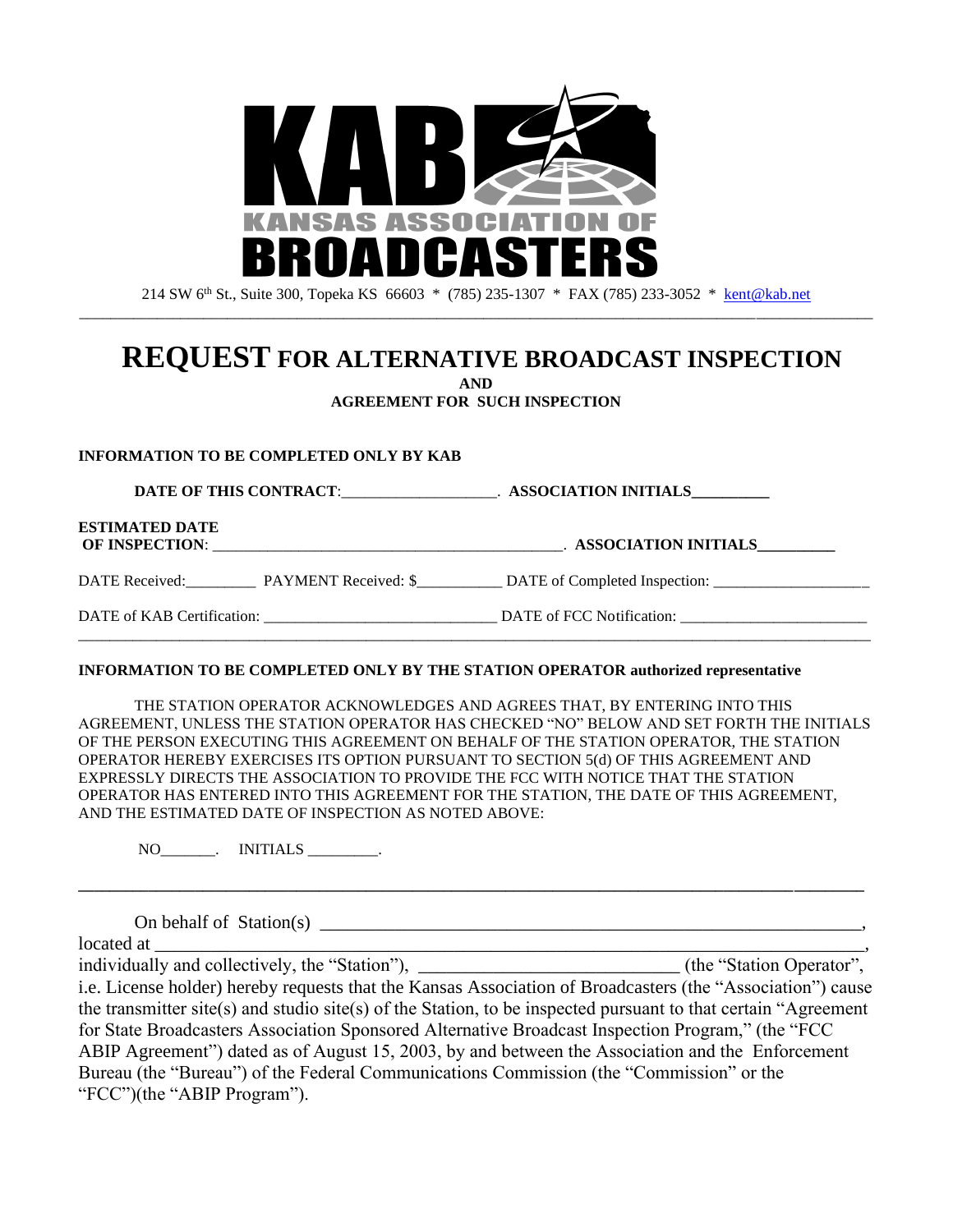

214 SW 6th St., Suite 300, Topeka KS 66603 \* (785) 235-1307 \* FAX (785) 233-3052 \* [kent@kab.net](mailto:kent@kab.net) \_\_\_\_\_\_\_\_\_\_\_\_\_\_\_\_\_\_\_\_\_\_\_\_\_\_\_\_\_\_\_\_\_\_\_\_\_\_\_\_\_\_\_\_\_\_\_\_\_\_\_\_\_\_\_\_\_\_\_\_\_\_\_\_\_\_\_\_\_\_\_\_\_\_\_\_\_\_\_\_\_\_\_\_\_\_\_\_\_\_\_\_\_\_\_\_\_\_\_\_\_\_

# **REQUEST FOR ALTERNATIVE BROADCAST INSPECTION**

**AND**

**AGREEMENT FOR SUCH INSPECTION**

#### **INFORMATION TO BE COMPLETED ONLY BY KAB**

**DATE OF THIS CONTRACT**:\_\_\_\_\_\_\_\_\_\_\_\_\_\_\_\_\_\_\_\_. **ASSOCIATION INITIALS\_\_\_\_\_\_\_\_\_\_ ESTIMATED DATE OF INSPECTION**: \_\_\_\_\_\_\_\_\_\_\_\_\_\_\_\_\_\_\_\_\_\_\_\_\_\_\_\_\_\_\_\_\_\_\_\_\_\_\_\_\_\_\_\_\_. **ASSOCIATION INITIALS\_\_\_\_\_\_\_\_\_\_** DATE Received: PAYMENT Received: \$ \_\_\_\_\_\_\_\_ DATE of Completed Inspection: \_\_\_\_\_\_\_\_\_\_\_\_\_ DATE of KAB Certification: \_\_\_\_\_\_\_\_\_\_\_\_\_\_\_\_\_\_\_\_\_\_\_\_\_\_\_\_\_\_ DATE of FCC Notification: \_\_\_\_\_\_\_\_\_\_\_\_\_\_\_\_\_\_\_\_\_\_\_\_ \_\_\_\_\_\_\_\_\_\_\_\_\_\_\_\_\_\_\_\_\_\_\_\_\_\_\_\_\_\_\_\_\_\_\_\_\_\_\_\_\_\_\_\_\_\_\_\_\_\_\_\_\_\_\_\_\_\_\_\_\_\_\_\_\_\_\_\_\_\_\_\_\_\_\_\_\_\_\_\_\_\_\_\_\_\_\_\_\_\_\_\_\_\_\_\_\_\_\_\_\_\_

#### **INFORMATION TO BE COMPLETED ONLY BY THE STATION OPERATOR authorized representative**

THE STATION OPERATOR ACKNOWLEDGES AND AGREES THAT, BY ENTERING INTO THIS AGREEMENT, UNLESS THE STATION OPERATOR HAS CHECKED "NO" BELOW AND SET FORTH THE INITIALS OF THE PERSON EXECUTING THIS AGREEMENT ON BEHALF OF THE STATION OPERATOR, THE STATION OPERATOR HEREBY EXERCISES ITS OPTION PURSUANT TO SECTION 5(d) OF THIS AGREEMENT AND EXPRESSLY DIRECTS THE ASSOCIATION TO PROVIDE THE FCC WITH NOTICE THAT THE STATION OPERATOR HAS ENTERED INTO THIS AGREEMENT FOR THE STATION, THE DATE OF THIS AGREEMENT, AND THE ESTIMATED DATE OF INSPECTION AS NOTED ABOVE:

**\_\_\_\_\_\_\_\_\_\_\_\_\_\_\_\_\_\_\_\_\_\_\_\_\_\_\_\_\_\_\_\_\_\_\_\_\_\_\_\_\_\_\_\_\_\_\_\_\_\_\_\_\_\_\_\_\_\_\_\_\_\_\_\_\_\_\_\_\_\_\_\_\_\_\_\_\_\_\_\_\_\_\_\_\_\_\_\_\_\_\_\_\_\_\_\_\_\_\_\_\_**

NO\_\_\_\_\_\_\_. INITIALS \_\_\_\_\_\_\_\_\_.

On behalf of Station(s)

located at \_\_\_\_\_\_\_\_\_\_\_\_\_\_\_\_\_\_\_\_\_\_\_\_\_\_\_\_\_\_\_\_\_\_\_\_\_\_\_\_\_\_\_\_\_\_\_\_\_\_\_\_\_\_\_\_\_\_\_\_\_\_\_\_\_\_\_\_\_\_\_\_\_\_\_\_,

individually and collectively, the "Station"), \_\_\_\_\_\_\_\_\_\_\_\_\_\_\_\_\_\_\_\_\_\_\_\_\_\_\_\_\_\_\_\_(the "Station Operator", i.e. License holder) hereby requests that the Kansas Association of Broadcasters (the "Association") cause the transmitter site(s) and studio site(s) of the Station, to be inspected pursuant to that certain "Agreement for State Broadcasters Association Sponsored Alternative Broadcast Inspection Program," (the "FCC ABIP Agreement") dated as of August 15, 2003, by and between the Association and the Enforcement Bureau (the "Bureau") of the Federal Communications Commission (the "Commission" or the "FCC")(the "ABIP Program").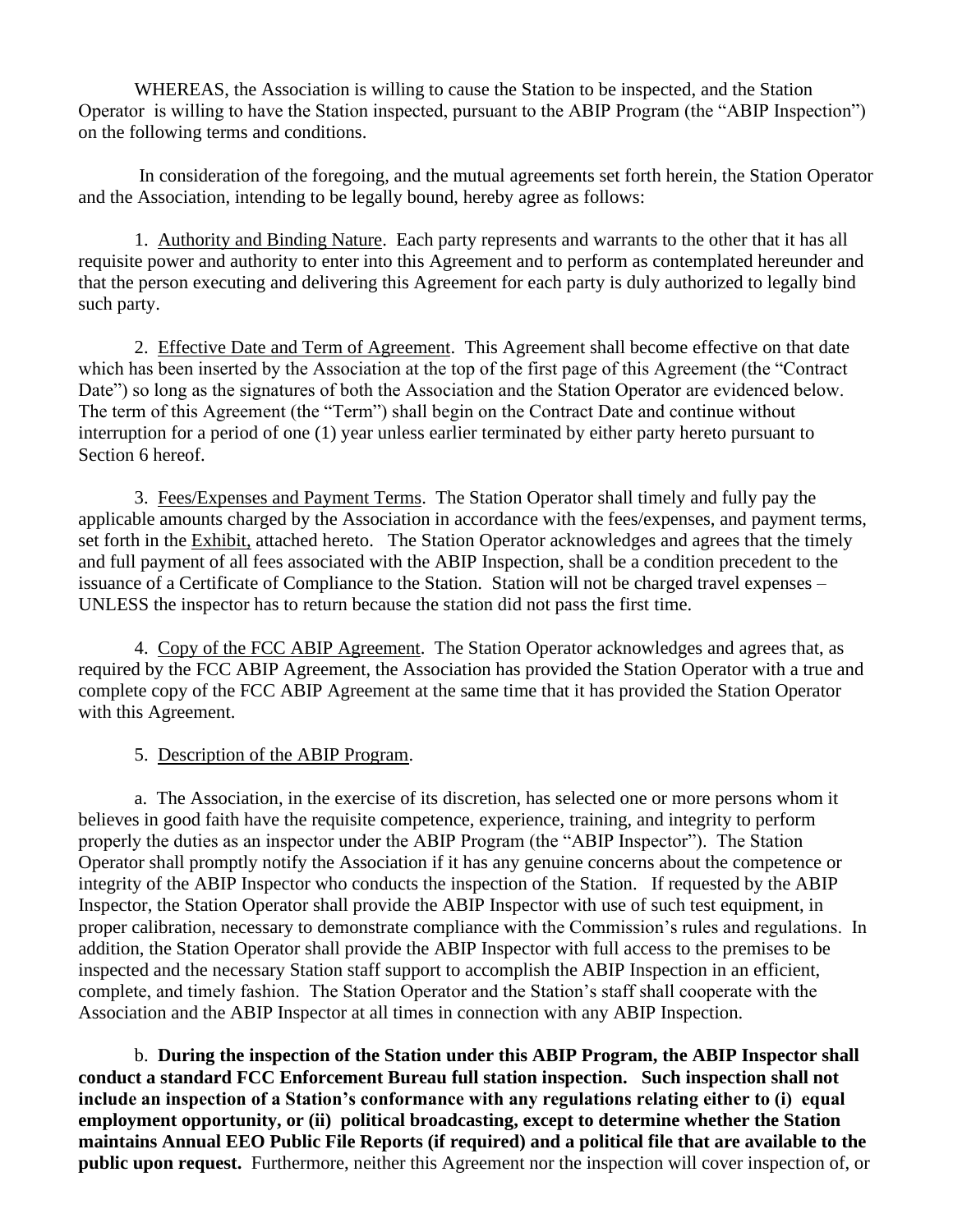WHEREAS, the Association is willing to cause the Station to be inspected, and the Station Operator is willing to have the Station inspected, pursuant to the ABIP Program (the "ABIP Inspection") on the following terms and conditions.

In consideration of the foregoing, and the mutual agreements set forth herein, the Station Operator and the Association, intending to be legally bound, hereby agree as follows:

1. Authority and Binding Nature. Each party represents and warrants to the other that it has all requisite power and authority to enter into this Agreement and to perform as contemplated hereunder and that the person executing and delivering this Agreement for each party is duly authorized to legally bind such party.

2. Effective Date and Term of Agreement. This Agreement shall become effective on that date which has been inserted by the Association at the top of the first page of this Agreement (the "Contract Date") so long as the signatures of both the Association and the Station Operator are evidenced below. The term of this Agreement (the "Term") shall begin on the Contract Date and continue without interruption for a period of one (1) year unless earlier terminated by either party hereto pursuant to Section 6 hereof.

3. Fees/Expenses and Payment Terms. The Station Operator shall timely and fully pay the applicable amounts charged by the Association in accordance with the fees/expenses, and payment terms, set forth in the Exhibit, attached hereto. The Station Operator acknowledges and agrees that the timely and full payment of all fees associated with the ABIP Inspection, shall be a condition precedent to the issuance of a Certificate of Compliance to the Station. Station will not be charged travel expenses – UNLESS the inspector has to return because the station did not pass the first time.

4. Copy of the FCC ABIP Agreement. The Station Operator acknowledges and agrees that, as required by the FCC ABIP Agreement, the Association has provided the Station Operator with a true and complete copy of the FCC ABIP Agreement at the same time that it has provided the Station Operator with this Agreement.

5. Description of the ABIP Program.

a. The Association, in the exercise of its discretion, has selected one or more persons whom it believes in good faith have the requisite competence, experience, training, and integrity to perform properly the duties as an inspector under the ABIP Program (the "ABIP Inspector"). The Station Operator shall promptly notify the Association if it has any genuine concerns about the competence or integrity of the ABIP Inspector who conducts the inspection of the Station. If requested by the ABIP Inspector, the Station Operator shall provide the ABIP Inspector with use of such test equipment, in proper calibration, necessary to demonstrate compliance with the Commission's rules and regulations. In addition, the Station Operator shall provide the ABIP Inspector with full access to the premises to be inspected and the necessary Station staff support to accomplish the ABIP Inspection in an efficient, complete, and timely fashion. The Station Operator and the Station's staff shall cooperate with the Association and the ABIP Inspector at all times in connection with any ABIP Inspection.

b. **During the inspection of the Station under this ABIP Program, the ABIP Inspector shall conduct a standard FCC Enforcement Bureau full station inspection. Such inspection shall not include an inspection of a Station's conformance with any regulations relating either to (i) equal employment opportunity, or (ii) political broadcasting, except to determine whether the Station maintains Annual EEO Public File Reports (if required) and a political file that are available to the public upon request.** Furthermore, neither this Agreement nor the inspection will cover inspection of, or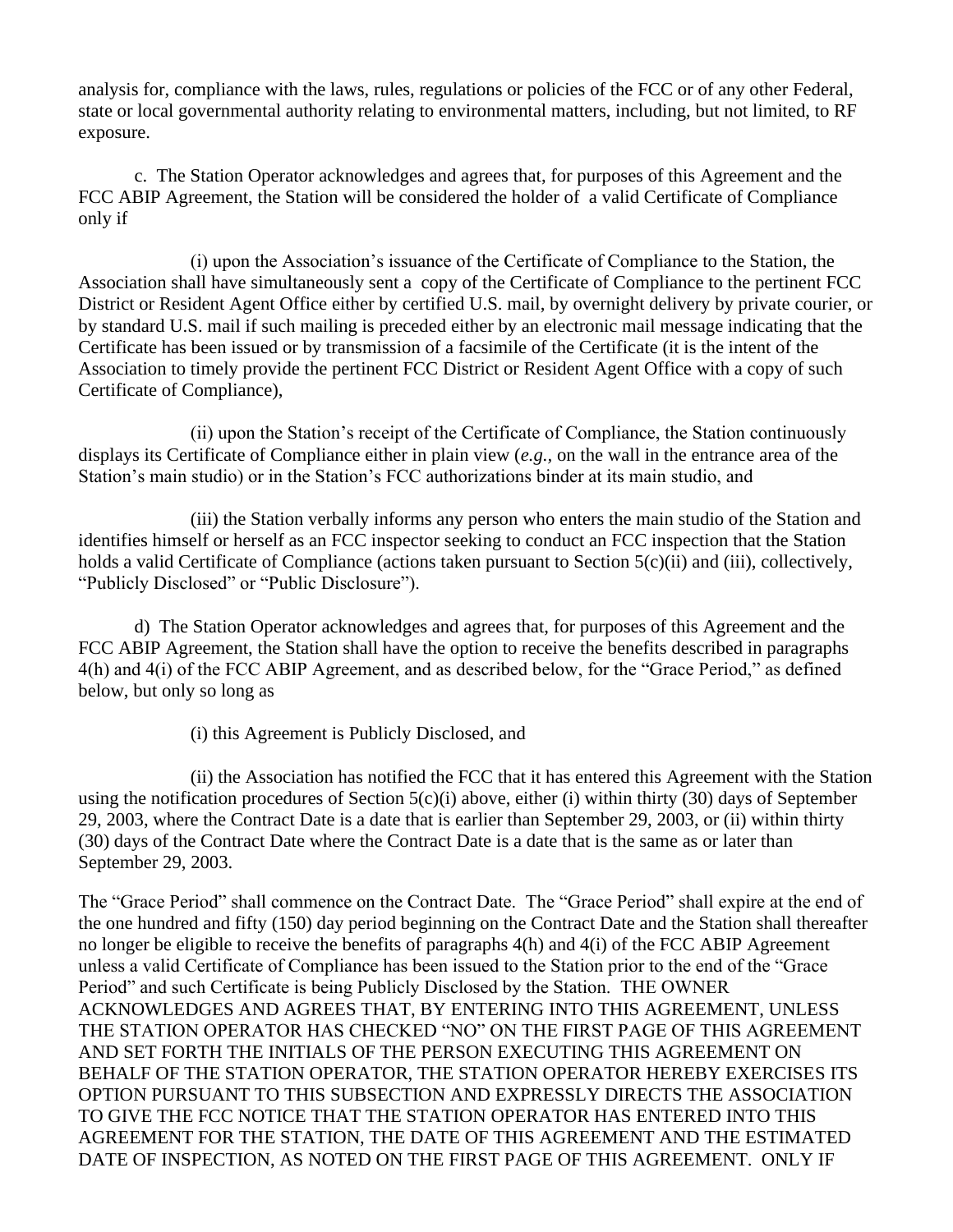analysis for, compliance with the laws, rules, regulations or policies of the FCC or of any other Federal, state or local governmental authority relating to environmental matters, including, but not limited, to RF exposure.

c. The Station Operator acknowledges and agrees that, for purposes of this Agreement and the FCC ABIP Agreement, the Station will be considered the holder of a valid Certificate of Compliance only if

(i) upon the Association's issuance of the Certificate of Compliance to the Station, the Association shall have simultaneously sent a copy of the Certificate of Compliance to the pertinent FCC District or Resident Agent Office either by certified U.S. mail, by overnight delivery by private courier, or by standard U.S. mail if such mailing is preceded either by an electronic mail message indicating that the Certificate has been issued or by transmission of a facsimile of the Certificate (it is the intent of the Association to timely provide the pertinent FCC District or Resident Agent Office with a copy of such Certificate of Compliance),

(ii) upon the Station's receipt of the Certificate of Compliance, the Station continuously displays its Certificate of Compliance either in plain view (*e.g.,* on the wall in the entrance area of the Station's main studio) or in the Station's FCC authorizations binder at its main studio, and

(iii) the Station verbally informs any person who enters the main studio of the Station and identifies himself or herself as an FCC inspector seeking to conduct an FCC inspection that the Station holds a valid Certificate of Compliance (actions taken pursuant to Section 5(c)(ii) and (iii), collectively, "Publicly Disclosed" or "Public Disclosure").

d) The Station Operator acknowledges and agrees that, for purposes of this Agreement and the FCC ABIP Agreement, the Station shall have the option to receive the benefits described in paragraphs 4(h) and 4(i) of the FCC ABIP Agreement, and as described below, for the "Grace Period," as defined below, but only so long as

(i) this Agreement is Publicly Disclosed, and

(ii) the Association has notified the FCC that it has entered this Agreement with the Station using the notification procedures of Section  $5(c)(i)$  above, either (i) within thirty (30) days of September 29, 2003, where the Contract Date is a date that is earlier than September 29, 2003, or (ii) within thirty (30) days of the Contract Date where the Contract Date is a date that is the same as or later than September 29, 2003.

The "Grace Period" shall commence on the Contract Date. The "Grace Period" shall expire at the end of the one hundred and fifty (150) day period beginning on the Contract Date and the Station shall thereafter no longer be eligible to receive the benefits of paragraphs 4(h) and 4(i) of the FCC ABIP Agreement unless a valid Certificate of Compliance has been issued to the Station prior to the end of the "Grace Period" and such Certificate is being Publicly Disclosed by the Station. THE OWNER ACKNOWLEDGES AND AGREES THAT, BY ENTERING INTO THIS AGREEMENT, UNLESS THE STATION OPERATOR HAS CHECKED "NO" ON THE FIRST PAGE OF THIS AGREEMENT AND SET FORTH THE INITIALS OF THE PERSON EXECUTING THIS AGREEMENT ON BEHALF OF THE STATION OPERATOR, THE STATION OPERATOR HEREBY EXERCISES ITS OPTION PURSUANT TO THIS SUBSECTION AND EXPRESSLY DIRECTS THE ASSOCIATION TO GIVE THE FCC NOTICE THAT THE STATION OPERATOR HAS ENTERED INTO THIS AGREEMENT FOR THE STATION, THE DATE OF THIS AGREEMENT AND THE ESTIMATED DATE OF INSPECTION, AS NOTED ON THE FIRST PAGE OF THIS AGREEMENT. ONLY IF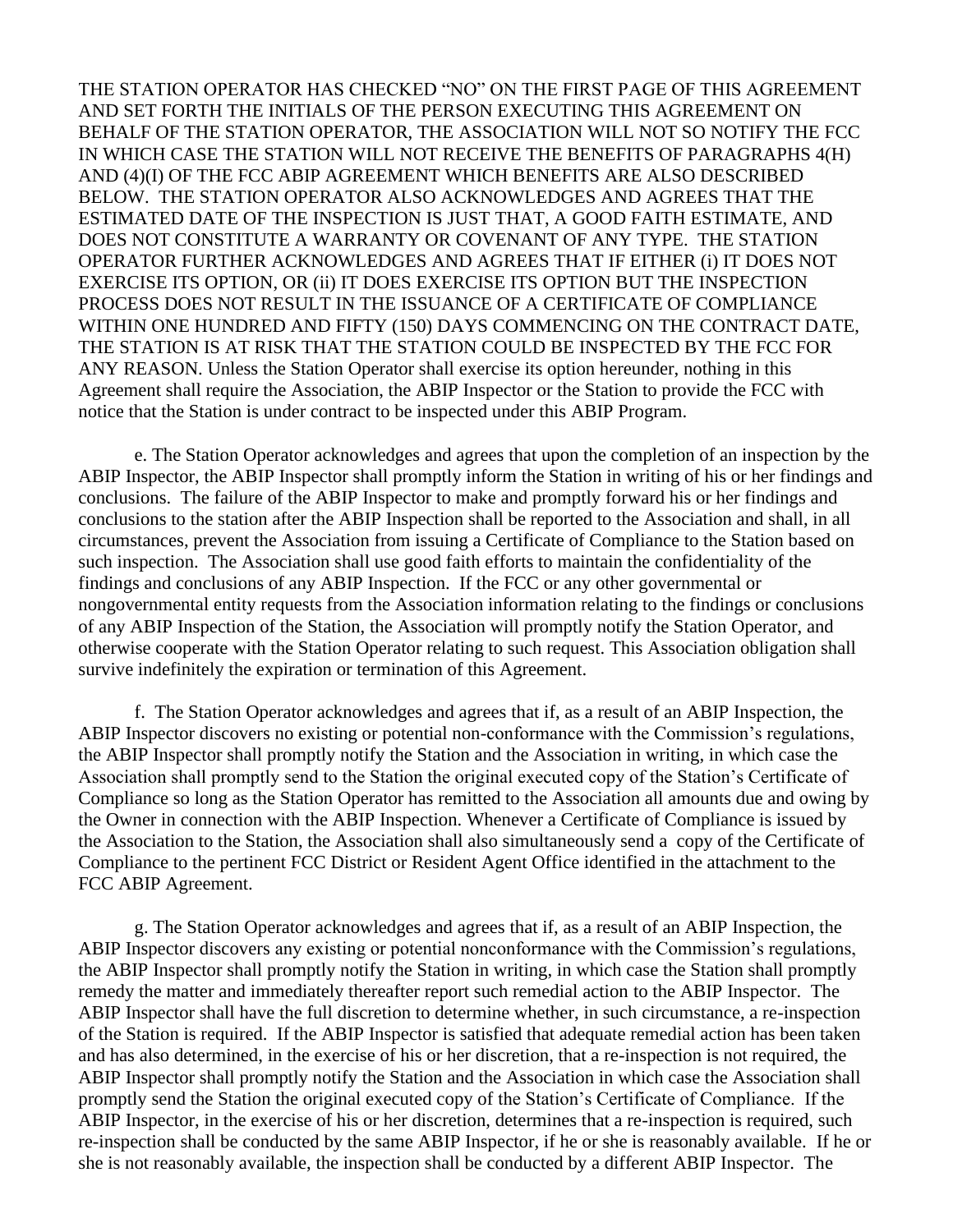THE STATION OPERATOR HAS CHECKED "NO" ON THE FIRST PAGE OF THIS AGREEMENT AND SET FORTH THE INITIALS OF THE PERSON EXECUTING THIS AGREEMENT ON BEHALF OF THE STATION OPERATOR, THE ASSOCIATION WILL NOT SO NOTIFY THE FCC IN WHICH CASE THE STATION WILL NOT RECEIVE THE BENEFITS OF PARAGRAPHS 4(H) AND (4)(I) OF THE FCC ABIP AGREEMENT WHICH BENEFITS ARE ALSO DESCRIBED BELOW. THE STATION OPERATOR ALSO ACKNOWLEDGES AND AGREES THAT THE ESTIMATED DATE OF THE INSPECTION IS JUST THAT, A GOOD FAITH ESTIMATE, AND DOES NOT CONSTITUTE A WARRANTY OR COVENANT OF ANY TYPE. THE STATION OPERATOR FURTHER ACKNOWLEDGES AND AGREES THAT IF EITHER (i) IT DOES NOT EXERCISE ITS OPTION, OR (ii) IT DOES EXERCISE ITS OPTION BUT THE INSPECTION PROCESS DOES NOT RESULT IN THE ISSUANCE OF A CERTIFICATE OF COMPLIANCE WITHIN ONE HUNDRED AND FIFTY (150) DAYS COMMENCING ON THE CONTRACT DATE, THE STATION IS AT RISK THAT THE STATION COULD BE INSPECTED BY THE FCC FOR ANY REASON. Unless the Station Operator shall exercise its option hereunder, nothing in this Agreement shall require the Association, the ABIP Inspector or the Station to provide the FCC with notice that the Station is under contract to be inspected under this ABIP Program.

e. The Station Operator acknowledges and agrees that upon the completion of an inspection by the ABIP Inspector, the ABIP Inspector shall promptly inform the Station in writing of his or her findings and conclusions. The failure of the ABIP Inspector to make and promptly forward his or her findings and conclusions to the station after the ABIP Inspection shall be reported to the Association and shall, in all circumstances, prevent the Association from issuing a Certificate of Compliance to the Station based on such inspection. The Association shall use good faith efforts to maintain the confidentiality of the findings and conclusions of any ABIP Inspection. If the FCC or any other governmental or nongovernmental entity requests from the Association information relating to the findings or conclusions of any ABIP Inspection of the Station, the Association will promptly notify the Station Operator, and otherwise cooperate with the Station Operator relating to such request. This Association obligation shall survive indefinitely the expiration or termination of this Agreement.

f. The Station Operator acknowledges and agrees that if, as a result of an ABIP Inspection, the ABIP Inspector discovers no existing or potential non-conformance with the Commission's regulations, the ABIP Inspector shall promptly notify the Station and the Association in writing, in which case the Association shall promptly send to the Station the original executed copy of the Station's Certificate of Compliance so long as the Station Operator has remitted to the Association all amounts due and owing by the Owner in connection with the ABIP Inspection. Whenever a Certificate of Compliance is issued by the Association to the Station, the Association shall also simultaneously send a copy of the Certificate of Compliance to the pertinent FCC District or Resident Agent Office identified in the attachment to the FCC ABIP Agreement.

g. The Station Operator acknowledges and agrees that if, as a result of an ABIP Inspection, the ABIP Inspector discovers any existing or potential nonconformance with the Commission's regulations, the ABIP Inspector shall promptly notify the Station in writing, in which case the Station shall promptly remedy the matter and immediately thereafter report such remedial action to the ABIP Inspector. The ABIP Inspector shall have the full discretion to determine whether, in such circumstance, a re-inspection of the Station is required. If the ABIP Inspector is satisfied that adequate remedial action has been taken and has also determined, in the exercise of his or her discretion, that a re-inspection is not required, the ABIP Inspector shall promptly notify the Station and the Association in which case the Association shall promptly send the Station the original executed copy of the Station's Certificate of Compliance. If the ABIP Inspector, in the exercise of his or her discretion, determines that a re-inspection is required, such re-inspection shall be conducted by the same ABIP Inspector, if he or she is reasonably available. If he or she is not reasonably available, the inspection shall be conducted by a different ABIP Inspector. The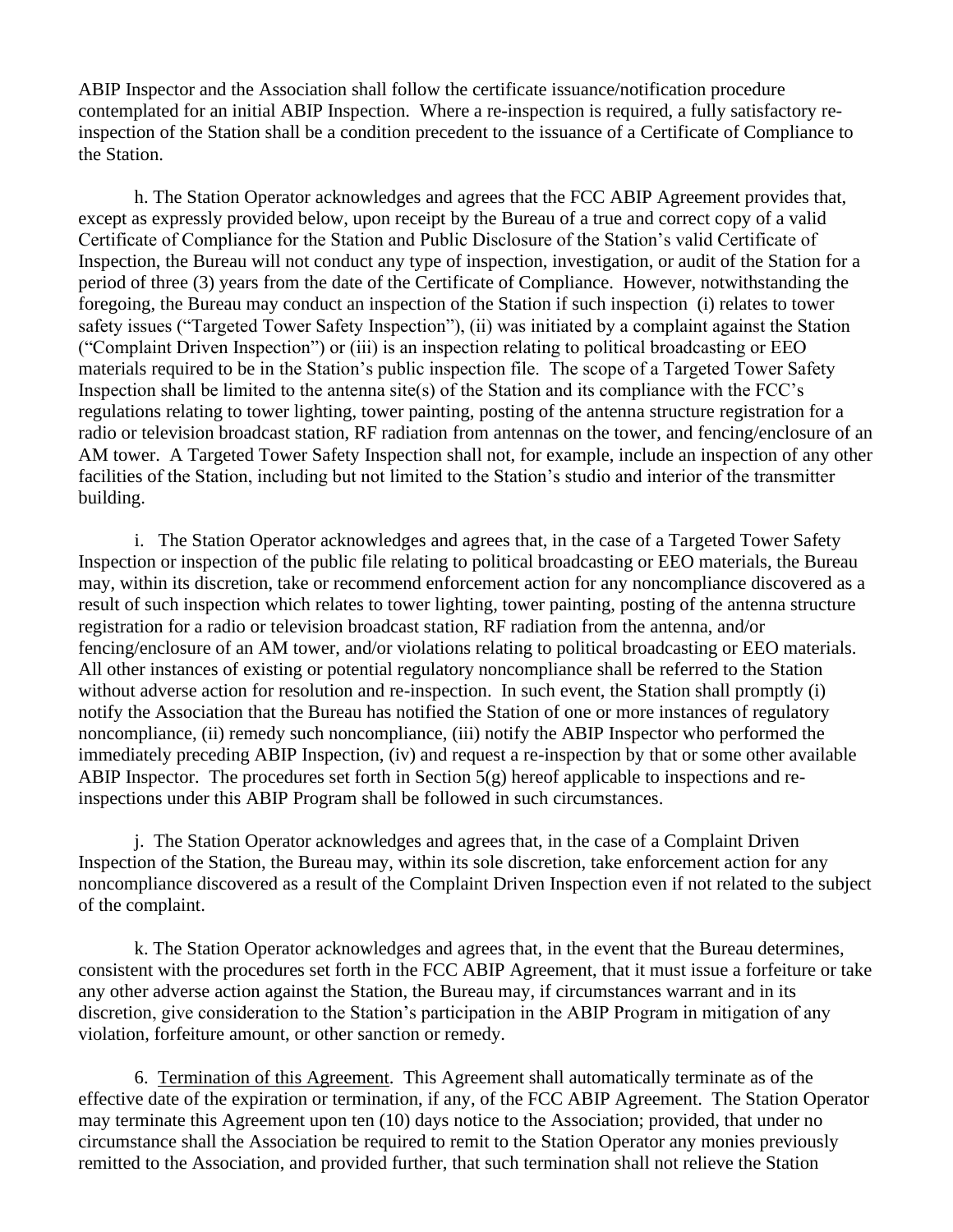ABIP Inspector and the Association shall follow the certificate issuance/notification procedure contemplated for an initial ABIP Inspection. Where a re-inspection is required, a fully satisfactory reinspection of the Station shall be a condition precedent to the issuance of a Certificate of Compliance to the Station.

h. The Station Operator acknowledges and agrees that the FCC ABIP Agreement provides that, except as expressly provided below, upon receipt by the Bureau of a true and correct copy of a valid Certificate of Compliance for the Station and Public Disclosure of the Station's valid Certificate of Inspection, the Bureau will not conduct any type of inspection, investigation, or audit of the Station for a period of three (3) years from the date of the Certificate of Compliance. However, notwithstanding the foregoing, the Bureau may conduct an inspection of the Station if such inspection (i) relates to tower safety issues ("Targeted Tower Safety Inspection"), (ii) was initiated by a complaint against the Station ("Complaint Driven Inspection") or (iii) is an inspection relating to political broadcasting or EEO materials required to be in the Station's public inspection file. The scope of a Targeted Tower Safety Inspection shall be limited to the antenna site(s) of the Station and its compliance with the FCC's regulations relating to tower lighting, tower painting, posting of the antenna structure registration for a radio or television broadcast station, RF radiation from antennas on the tower, and fencing/enclosure of an AM tower. A Targeted Tower Safety Inspection shall not, for example, include an inspection of any other facilities of the Station, including but not limited to the Station's studio and interior of the transmitter building.

i. The Station Operator acknowledges and agrees that, in the case of a Targeted Tower Safety Inspection or inspection of the public file relating to political broadcasting or EEO materials, the Bureau may, within its discretion, take or recommend enforcement action for any noncompliance discovered as a result of such inspection which relates to tower lighting, tower painting, posting of the antenna structure registration for a radio or television broadcast station, RF radiation from the antenna, and/or fencing/enclosure of an AM tower, and/or violations relating to political broadcasting or EEO materials. All other instances of existing or potential regulatory noncompliance shall be referred to the Station without adverse action for resolution and re-inspection. In such event, the Station shall promptly (i) notify the Association that the Bureau has notified the Station of one or more instances of regulatory noncompliance, (ii) remedy such noncompliance, (iii) notify the ABIP Inspector who performed the immediately preceding ABIP Inspection, (iv) and request a re-inspection by that or some other available ABIP Inspector. The procedures set forth in Section 5(g) hereof applicable to inspections and reinspections under this ABIP Program shall be followed in such circumstances.

j. The Station Operator acknowledges and agrees that, in the case of a Complaint Driven Inspection of the Station, the Bureau may, within its sole discretion, take enforcement action for any noncompliance discovered as a result of the Complaint Driven Inspection even if not related to the subject of the complaint.

k. The Station Operator acknowledges and agrees that, in the event that the Bureau determines, consistent with the procedures set forth in the FCC ABIP Agreement, that it must issue a forfeiture or take any other adverse action against the Station, the Bureau may, if circumstances warrant and in its discretion, give consideration to the Station's participation in the ABIP Program in mitigation of any violation, forfeiture amount, or other sanction or remedy.

6. Termination of this Agreement. This Agreement shall automatically terminate as of the effective date of the expiration or termination, if any, of the FCC ABIP Agreement. The Station Operator may terminate this Agreement upon ten (10) days notice to the Association; provided, that under no circumstance shall the Association be required to remit to the Station Operator any monies previously remitted to the Association, and provided further, that such termination shall not relieve the Station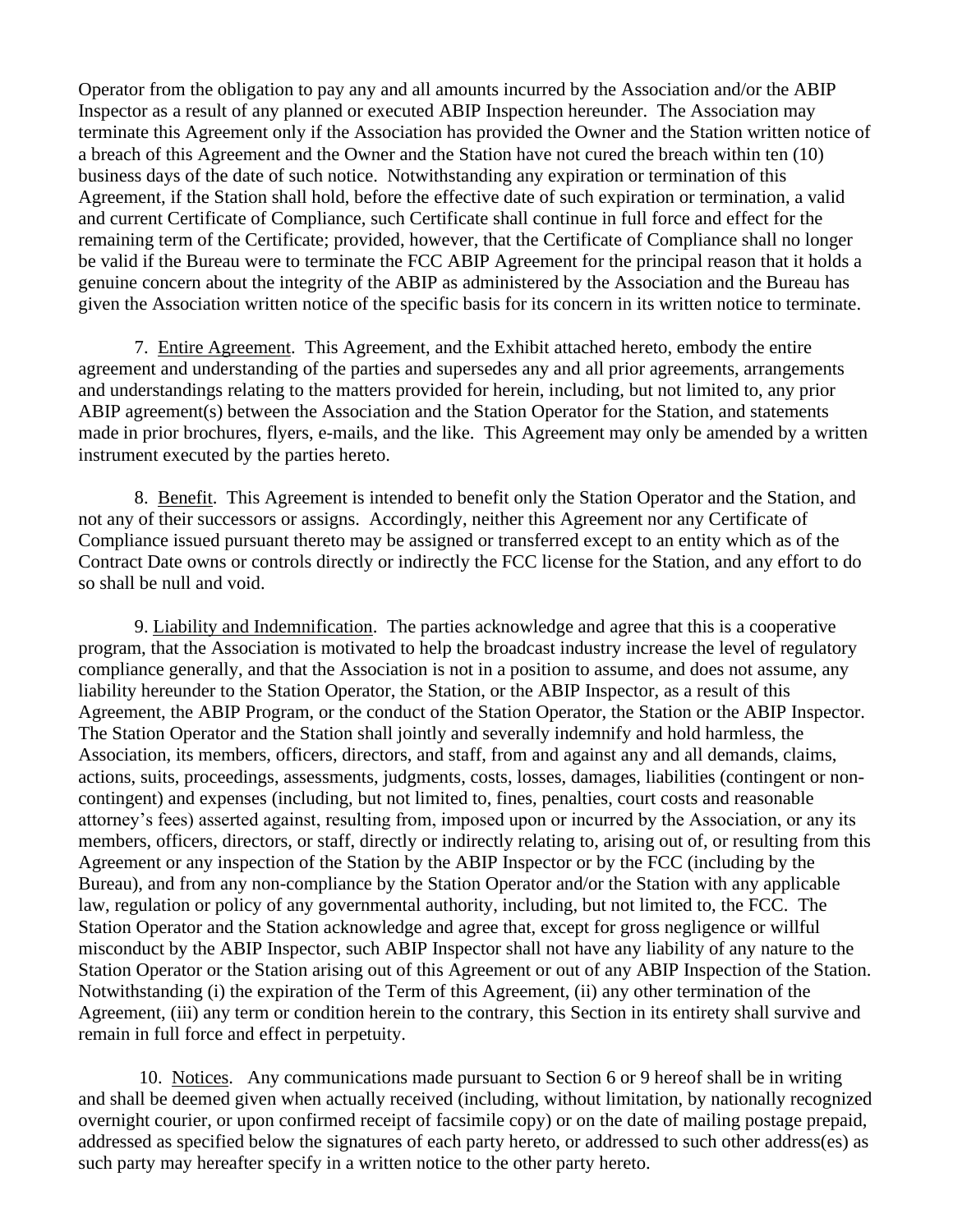Operator from the obligation to pay any and all amounts incurred by the Association and/or the ABIP Inspector as a result of any planned or executed ABIP Inspection hereunder. The Association may terminate this Agreement only if the Association has provided the Owner and the Station written notice of a breach of this Agreement and the Owner and the Station have not cured the breach within ten (10) business days of the date of such notice. Notwithstanding any expiration or termination of this Agreement, if the Station shall hold, before the effective date of such expiration or termination, a valid and current Certificate of Compliance, such Certificate shall continue in full force and effect for the remaining term of the Certificate; provided, however, that the Certificate of Compliance shall no longer be valid if the Bureau were to terminate the FCC ABIP Agreement for the principal reason that it holds a genuine concern about the integrity of the ABIP as administered by the Association and the Bureau has given the Association written notice of the specific basis for its concern in its written notice to terminate.

7. Entire Agreement. This Agreement, and the Exhibit attached hereto, embody the entire agreement and understanding of the parties and supersedes any and all prior agreements, arrangements and understandings relating to the matters provided for herein, including, but not limited to, any prior ABIP agreement(s) between the Association and the Station Operator for the Station, and statements made in prior brochures, flyers, e-mails, and the like. This Agreement may only be amended by a written instrument executed by the parties hereto.

8. Benefit. This Agreement is intended to benefit only the Station Operator and the Station, and not any of their successors or assigns. Accordingly, neither this Agreement nor any Certificate of Compliance issued pursuant thereto may be assigned or transferred except to an entity which as of the Contract Date owns or controls directly or indirectly the FCC license for the Station, and any effort to do so shall be null and void.

9. Liability and Indemnification. The parties acknowledge and agree that this is a cooperative program, that the Association is motivated to help the broadcast industry increase the level of regulatory compliance generally, and that the Association is not in a position to assume, and does not assume, any liability hereunder to the Station Operator, the Station, or the ABIP Inspector, as a result of this Agreement, the ABIP Program, or the conduct of the Station Operator, the Station or the ABIP Inspector. The Station Operator and the Station shall jointly and severally indemnify and hold harmless, the Association, its members, officers, directors, and staff, from and against any and all demands, claims, actions, suits, proceedings, assessments, judgments, costs, losses, damages, liabilities (contingent or noncontingent) and expenses (including, but not limited to, fines, penalties, court costs and reasonable attorney's fees) asserted against, resulting from, imposed upon or incurred by the Association, or any its members, officers, directors, or staff, directly or indirectly relating to, arising out of, or resulting from this Agreement or any inspection of the Station by the ABIP Inspector or by the FCC (including by the Bureau), and from any non-compliance by the Station Operator and/or the Station with any applicable law, regulation or policy of any governmental authority, including, but not limited to, the FCC. The Station Operator and the Station acknowledge and agree that, except for gross negligence or willful misconduct by the ABIP Inspector, such ABIP Inspector shall not have any liability of any nature to the Station Operator or the Station arising out of this Agreement or out of any ABIP Inspection of the Station. Notwithstanding (i) the expiration of the Term of this Agreement, (ii) any other termination of the Agreement, (iii) any term or condition herein to the contrary, this Section in its entirety shall survive and remain in full force and effect in perpetuity.

10. Notices. Any communications made pursuant to Section 6 or 9 hereof shall be in writing and shall be deemed given when actually received (including, without limitation, by nationally recognized overnight courier, or upon confirmed receipt of facsimile copy) or on the date of mailing postage prepaid, addressed as specified below the signatures of each party hereto, or addressed to such other address(es) as such party may hereafter specify in a written notice to the other party hereto.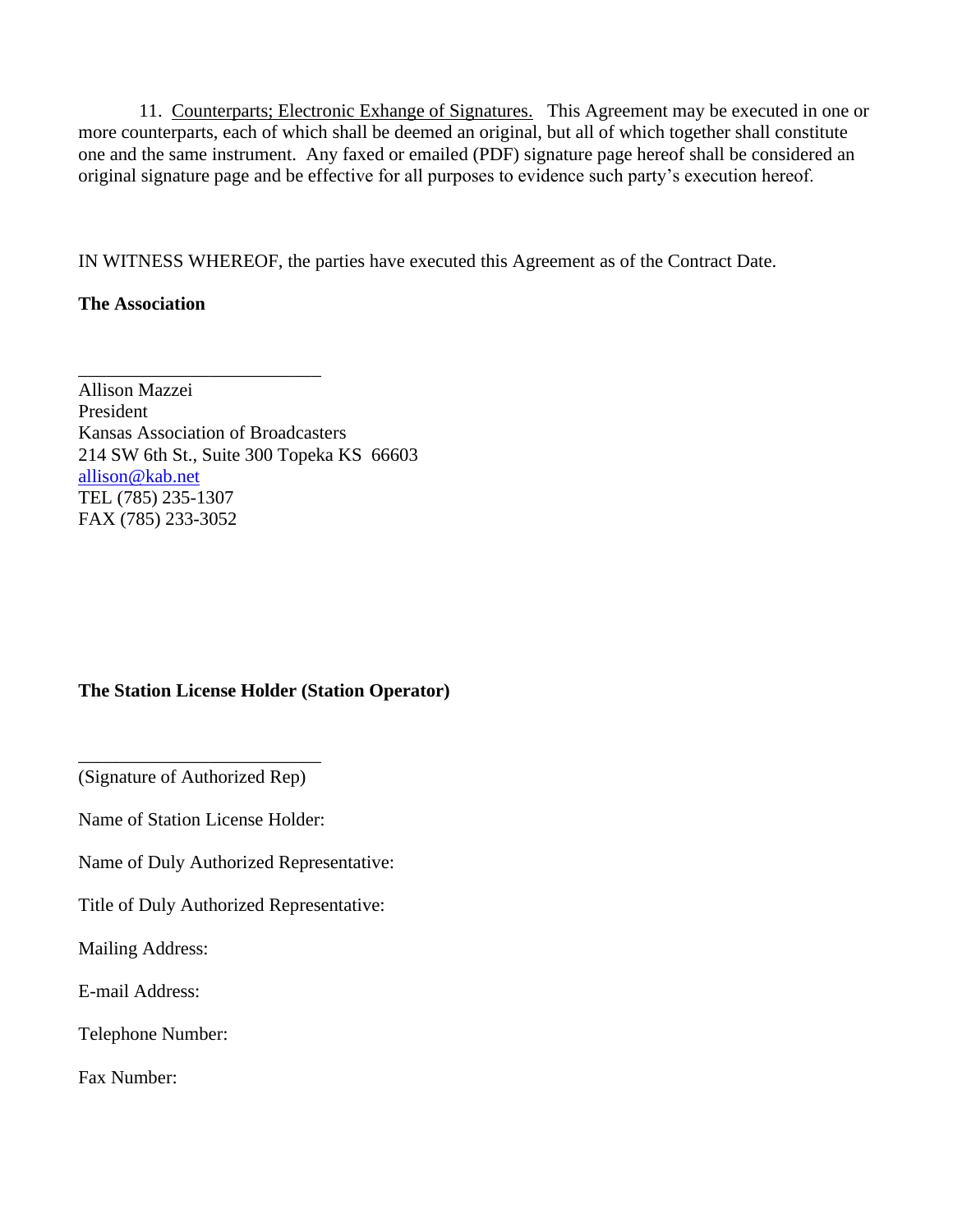11. Counterparts; Electronic Exhange of Signatures. This Agreement may be executed in one or more counterparts, each of which shall be deemed an original, but all of which together shall constitute one and the same instrument. Any faxed or emailed (PDF) signature page hereof shall be considered an original signature page and be effective for all purposes to evidence such party's execution hereof.

IN WITNESS WHEREOF, the parties have executed this Agreement as of the Contract Date.

#### **The Association**

Allison Mazzei President Kansas Association of Broadcasters 214 SW 6th St., Suite 300 Topeka KS 66603 [allison@kab.net](mailto:allison@kab.net) TEL (785) 235-1307 FAX (785) 233-3052

\_\_\_\_\_\_\_\_\_\_\_\_\_\_\_\_\_\_\_\_\_\_\_\_\_\_

### **The Station License Holder (Station Operator)**

\_\_\_\_\_\_\_\_\_\_\_\_\_\_\_\_\_\_\_\_\_\_\_\_\_\_ (Signature of Authorized Rep)

Name of Station License Holder:

Name of Duly Authorized Representative:

Title of Duly Authorized Representative:

Mailing Address:

E-mail Address:

Telephone Number:

Fax Number: